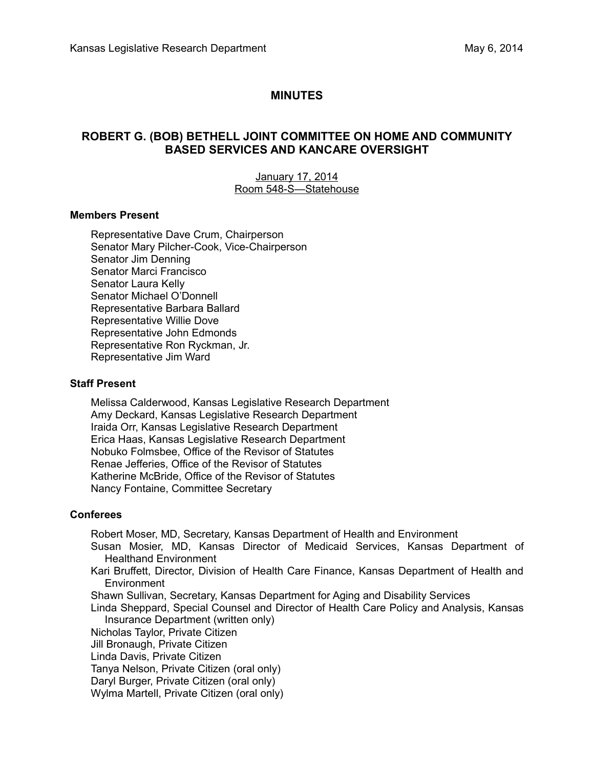# **MINUTES**

# **ROBERT G. (BOB) BETHELL JOINT COMMITTEE ON HOME AND COMMUNITY BASED SERVICES AND KANCARE OVERSIGHT**

#### January 17, 2014 Room 548-S-Statehouse

#### **Members Present**

Representative Dave Crum, Chairperson Senator Mary Pilcher-Cook, Vice-Chairperson Senator Jim Denning Senator Marci Francisco Senator Laura Kelly Senator Michael O'Donnell Representative Barbara Ballard Representative Willie Dove Representative John Edmonds Representative Ron Ryckman, Jr. Representative Jim Ward

#### **Staff Present**

Melissa Calderwood, Kansas Legislative Research Department Amy Deckard, Kansas Legislative Research Department Iraida Orr, Kansas Legislative Research Department Erica Haas, Kansas Legislative Research Department Nobuko Folmsbee, Office of the Revisor of Statutes Renae Jefferies, Office of the Revisor of Statutes Katherine McBride, Office of the Revisor of Statutes Nancy Fontaine, Committee Secretary

#### **Conferees**

Robert Moser, MD, Secretary, Kansas Department of Health and Environment

- Susan Mosier, MD, Kansas Director of Medicaid Services, Kansas Department of Healthand Environment
- Kari Bruffett, Director, Division of Health Care Finance, Kansas Department of Health and Environment
- Shawn Sullivan, Secretary, Kansas Department for Aging and Disability Services
- Linda Sheppard, Special Counsel and Director of Health Care Policy and Analysis, Kansas Insurance Department (written only)
- Nicholas Taylor, Private Citizen
- Jill Bronaugh, Private Citizen
- Linda Davis, Private Citizen
- Tanya Nelson, Private Citizen (oral only)
- Daryl Burger, Private Citizen (oral only)
- Wylma Martell, Private Citizen (oral only)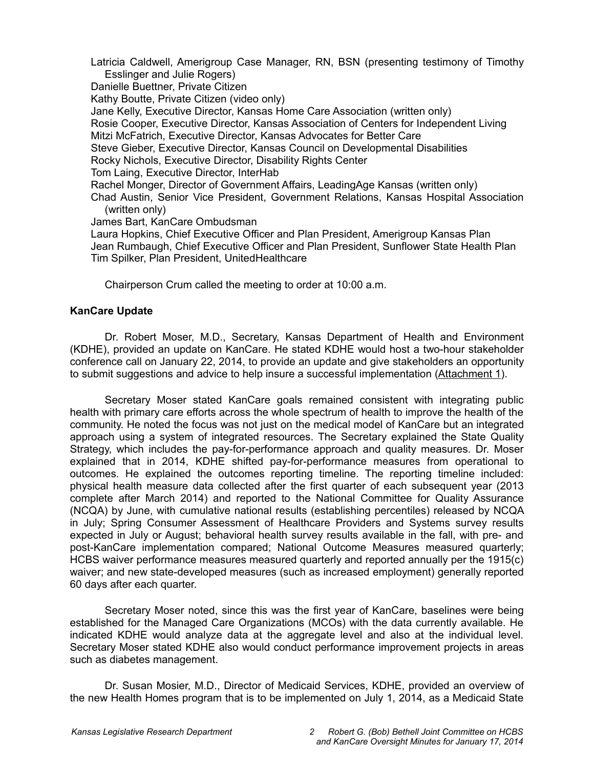Latricia Caldwell, Amerigroup Case Manager, RN, BSN (presenting testimony of Timothy Esslinger and Julie Rogers)

Danielle Buettner, Private Citizen

Kathy Boutte, Private Citizen (video only)

Jane Kelly, Executive Director, Kansas Home Care Association (written only)

Rosie Cooper, Executive Director, Kansas Association of Centers for Independent Living Mitzi McFatrich, Executive Director, Kansas Advocates for Better Care

Steve Gieber, Executive Director, Kansas Council on Developmental Disabilities

Rocky Nichols, Executive Director, Disability Rights Center

Tom Laing, Executive Director, InterHab

Rachel Monger, Director of Government Affairs, LeadingAge Kansas (written only)

Chad Austin, Senior Vice President, Government Relations, Kansas Hospital Association (written only)

James Bart, KanCare Ombudsman

Laura Hopkins, Chief Executive Officer and Plan President, Amerigroup Kansas Plan Jean Rumbaugh, Chief Executive Officer and Plan President, Sunflower State Health Plan Tim Spilker, Plan President, UnitedHealthcare

Chairperson Crum called the meeting to order at 10:00 a.m.

## **KanCare Update**

Dr. Robert Moser, M.D., Secretary, Kansas Department of Health and Environment (KDHE), provided an update on KanCare. He stated KDHE would host a two-hour stakeholder conference call on January 22, 2014, to provide an update and give stakeholders an opportunity to submit suggestions and advice to help insure a successful implementation (Attachment 1).

Secretary Moser stated KanCare goals remained consistent with integrating public health with primary care efforts across the whole spectrum of health to improve the health of the community. He noted the focus was not just on the medical model of KanCare but an integrated approach using a system of integrated resources. The Secretary explained the State Quality Strategy, which includes the pay-for-performance approach and quality measures. Dr. Moser explained that in 2014, KDHE shifted pay-for-performance measures from operational to outcomes. He explained the outcomes reporting timeline. The reporting timeline included: physical health measure data collected after the first quarter of each subsequent year (2013 complete after March 2014) and reported to the National Committee for Quality Assurance (NCQA) by June, with cumulative national results (establishing percentiles) released by NCQA in July; Spring Consumer Assessment of Healthcare Providers and Systems survey results expected in July or August; behavioral health survey results available in the fall, with pre- and post-KanCare implementation compared; National Outcome Measures measured quarterly; HCBS waiver performance measures measured quarterly and reported annually per the 1915(c) waiver; and new state-developed measures (such as increased employment) generally reported 60 days after each quarter.

Secretary Moser noted, since this was the first year of KanCare, baselines were being established for the Managed Care Organizations (MCOs) with the data currently available. He indicated KDHE would analyze data at the aggregate level and also at the individual level. Secretary Moser stated KDHE also would conduct performance improvement projects in areas such as diabetes management.

Dr. Susan Mosier, M.D., Director of Medicaid Services, KDHE, provided an overview of the new Health Homes program that is to be implemented on July 1, 2014, as a Medicaid State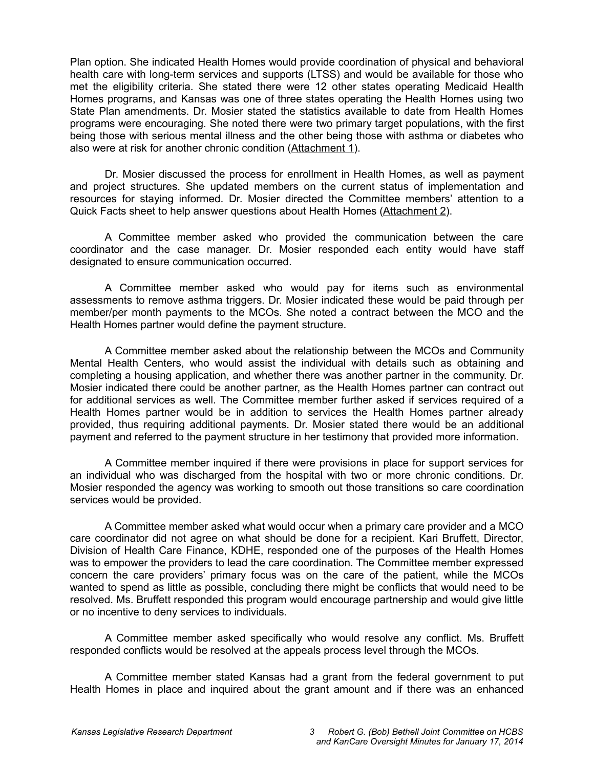Plan option. She indicated Health Homes would provide coordination of physical and behavioral health care with long-term services and supports (LTSS) and would be available for those who met the eligibility criteria. She stated there were 12 other states operating Medicaid Health Homes programs, and Kansas was one of three states operating the Health Homes using two State Plan amendments. Dr. Mosier stated the statistics available to date from Health Homes programs were encouraging. She noted there were two primary target populations, with the first being those with serious mental illness and the other being those with asthma or diabetes who also were at risk for another chronic condition (Attachment 1).

Dr. Mosier discussed the process for enrollment in Health Homes, as well as payment and project structures. She updated members on the current status of implementation and resources for staying informed. Dr. Mosier directed the Committee members' attention to a Quick Facts sheet to help answer questions about Health Homes (Attachment 2).

A Committee member asked who provided the communication between the care coordinator and the case manager. Dr. Mosier responded each entity would have staff designated to ensure communication occurred.

A Committee member asked who would pay for items such as environmental assessments to remove asthma triggers. Dr. Mosier indicated these would be paid through per member/per month payments to the MCOs. She noted a contract between the MCO and the Health Homes partner would define the payment structure.

A Committee member asked about the relationship between the MCOs and Community Mental Health Centers, who would assist the individual with details such as obtaining and completing a housing application, and whether there was another partner in the community. Dr. Mosier indicated there could be another partner, as the Health Homes partner can contract out for additional services as well. The Committee member further asked if services required of a Health Homes partner would be in addition to services the Health Homes partner already provided, thus requiring additional payments. Dr. Mosier stated there would be an additional payment and referred to the payment structure in her testimony that provided more information.

A Committee member inquired if there were provisions in place for support services for an individual who was discharged from the hospital with two or more chronic conditions. Dr. Mosier responded the agency was working to smooth out those transitions so care coordination services would be provided.

A Committee member asked what would occur when a primary care provider and a MCO care coordinator did not agree on what should be done for a recipient. Kari Bruffett, Director, Division of Health Care Finance, KDHE, responded one of the purposes of the Health Homes was to empower the providers to lead the care coordination. The Committee member expressed concern the care providers' primary focus was on the care of the patient, while the MCOs wanted to spend as little as possible, concluding there might be conflicts that would need to be resolved. Ms. Bruffett responded this program would encourage partnership and would give little or no incentive to deny services to individuals.

A Committee member asked specifically who would resolve any conflict. Ms. Bruffett responded conflicts would be resolved at the appeals process level through the MCOs.

A Committee member stated Kansas had a grant from the federal government to put Health Homes in place and inquired about the grant amount and if there was an enhanced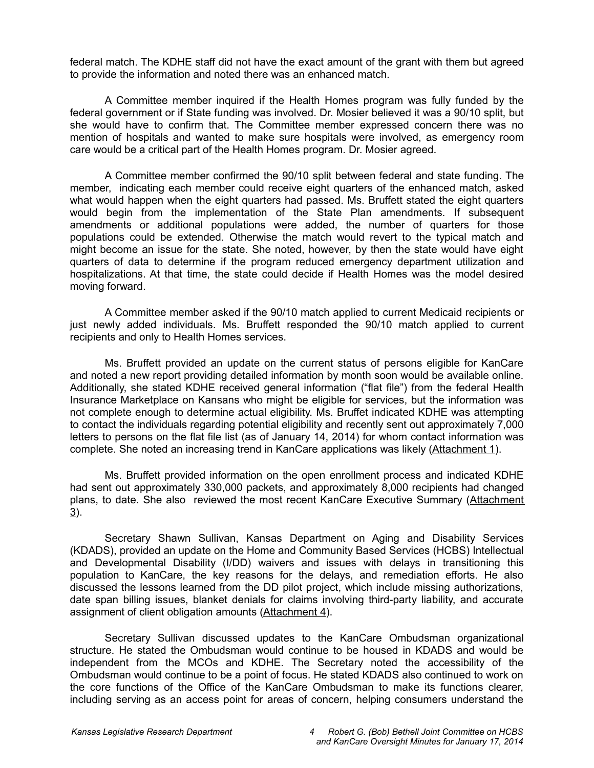federal match. The KDHE staff did not have the exact amount of the grant with them but agreed to provide the information and noted there was an enhanced match.

A Committee member inquired if the Health Homes program was fully funded by the federal government or if State funding was involved. Dr. Mosier believed it was a 90/10 split, but she would have to confirm that. The Committee member expressed concern there was no mention of hospitals and wanted to make sure hospitals were involved, as emergency room care would be a critical part of the Health Homes program. Dr. Mosier agreed.

A Committee member confirmed the 90/10 split between federal and state funding. The member, indicating each member could receive eight quarters of the enhanced match, asked what would happen when the eight quarters had passed. Ms. Bruffett stated the eight quarters would begin from the implementation of the State Plan amendments. If subsequent amendments or additional populations were added, the number of quarters for those populations could be extended. Otherwise the match would revert to the typical match and might become an issue for the state. She noted, however, by then the state would have eight quarters of data to determine if the program reduced emergency department utilization and hospitalizations. At that time, the state could decide if Health Homes was the model desired moving forward.

A Committee member asked if the 90/10 match applied to current Medicaid recipients or just newly added individuals. Ms. Bruffett responded the 90/10 match applied to current recipients and only to Health Homes services.

Ms. Bruffett provided an update on the current status of persons eligible for KanCare and noted a new report providing detailed information by month soon would be available online. Additionally, she stated KDHE received general information ("flat file") from the federal Health Insurance Marketplace on Kansans who might be eligible for services, but the information was not complete enough to determine actual eligibility. Ms. Bruffet indicated KDHE was attempting to contact the individuals regarding potential eligibility and recently sent out approximately 7,000 letters to persons on the flat file list (as of January 14, 2014) for whom contact information was complete. She noted an increasing trend in KanCare applications was likely (Attachment 1).

Ms. Bruffett provided information on the open enrollment process and indicated KDHE had sent out approximately 330,000 packets, and approximately 8,000 recipients had changed plans, to date. She also reviewed the most recent KanCare Executive Summary (Attachment 3).

Secretary Shawn Sullivan, Kansas Department on Aging and Disability Services (KDADS), provided an update on the Home and Community Based Services (HCBS) Intellectual and Developmental Disability (I/DD) waivers and issues with delays in transitioning this population to KanCare, the key reasons for the delays, and remediation efforts. He also discussed the lessons learned from the DD pilot project, which include missing authorizations, date span billing issues, blanket denials for claims involving third-party liability, and accurate assignment of client obligation amounts (Attachment 4).

Secretary Sullivan discussed updates to the KanCare Ombudsman organizational structure. He stated the Ombudsman would continue to be housed in KDADS and would be independent from the MCOs and KDHE. The Secretary noted the accessibility of the Ombudsman would continue to be a point of focus. He stated KDADS also continued to work on the core functions of the Office of the KanCare Ombudsman to make its functions clearer, including serving as an access point for areas of concern, helping consumers understand the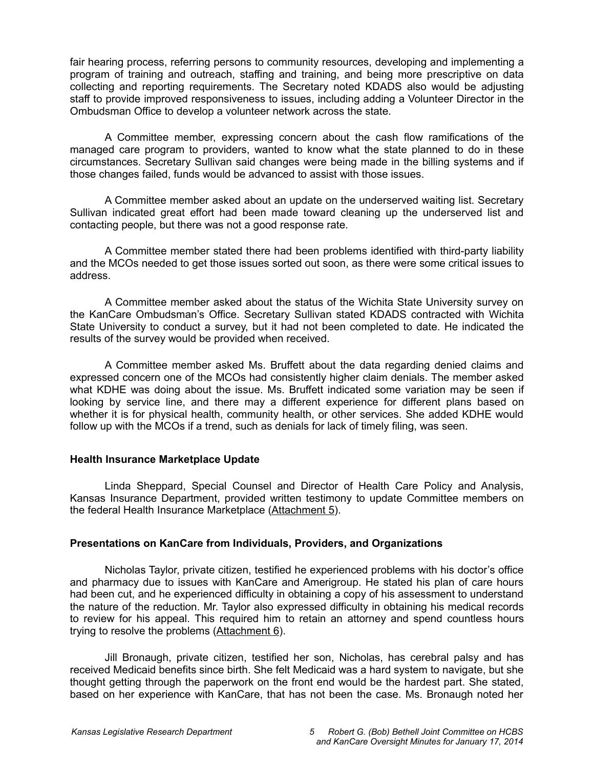fair hearing process, referring persons to community resources, developing and implementing a program of training and outreach, staffing and training, and being more prescriptive on data collecting and reporting requirements. The Secretary noted KDADS also would be adjusting staff to provide improved responsiveness to issues, including adding a Volunteer Director in the Ombudsman Office to develop a volunteer network across the state.

A Committee member, expressing concern about the cash flow ramifications of the managed care program to providers, wanted to know what the state planned to do in these circumstances. Secretary Sullivan said changes were being made in the billing systems and if those changes failed, funds would be advanced to assist with those issues.

A Committee member asked about an update on the underserved waiting list. Secretary Sullivan indicated great effort had been made toward cleaning up the underserved list and contacting people, but there was not a good response rate.

A Committee member stated there had been problems identified with third-party liability and the MCOs needed to get those issues sorted out soon, as there were some critical issues to address.

A Committee member asked about the status of the Wichita State University survey on the KanCare Ombudsman's Office. Secretary Sullivan stated KDADS contracted with Wichita State University to conduct a survey, but it had not been completed to date. He indicated the results of the survey would be provided when received.

A Committee member asked Ms. Bruffett about the data regarding denied claims and expressed concern one of the MCOs had consistently higher claim denials. The member asked what KDHE was doing about the issue. Ms. Bruffett indicated some variation may be seen if looking by service line, and there may a different experience for different plans based on whether it is for physical health, community health, or other services. She added KDHE would follow up with the MCOs if a trend, such as denials for lack of timely filing, was seen.

## **Health Insurance Marketplace Update**

Linda Sheppard, Special Counsel and Director of Health Care Policy and Analysis, Kansas Insurance Department, provided written testimony to update Committee members on the federal Health Insurance Marketplace (Attachment 5).

## **Presentations on KanCare from Individuals, Providers, and Organizations**

Nicholas Taylor, private citizen, testified he experienced problems with his doctor's office and pharmacy due to issues with KanCare and Amerigroup. He stated his plan of care hours had been cut, and he experienced difficulty in obtaining a copy of his assessment to understand the nature of the reduction. Mr. Taylor also expressed difficulty in obtaining his medical records to review for his appeal. This required him to retain an attorney and spend countless hours trying to resolve the problems (Attachment 6).

Jill Bronaugh, private citizen, testified her son, Nicholas, has cerebral palsy and has received Medicaid benefits since birth. She felt Medicaid was a hard system to navigate, but she thought getting through the paperwork on the front end would be the hardest part. She stated, based on her experience with KanCare, that has not been the case. Ms. Bronaugh noted her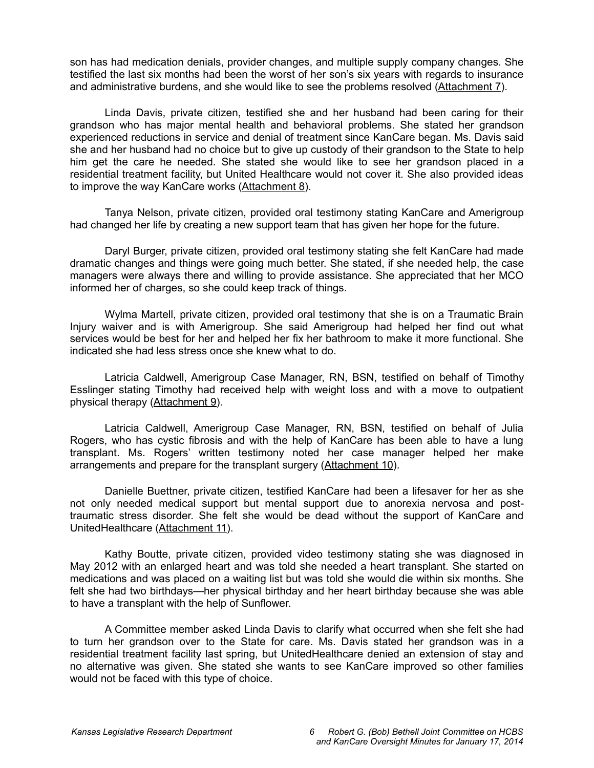son has had medication denials, provider changes, and multiple supply company changes. She testified the last six months had been the worst of her son's six years with regards to insurance and administrative burdens, and she would like to see the problems resolved (Attachment 7).

Linda Davis, private citizen, testified she and her husband had been caring for their grandson who has major mental health and behavioral problems. She stated her grandson experienced reductions in service and denial of treatment since KanCare began. Ms. Davis said she and her husband had no choice but to give up custody of their grandson to the State to help him get the care he needed. She stated she would like to see her grandson placed in a residential treatment facility, but United Healthcare would not cover it. She also provided ideas to improve the way KanCare works (Attachment 8).

Tanya Nelson, private citizen, provided oral testimony stating KanCare and Amerigroup had changed her life by creating a new support team that has given her hope for the future.

Daryl Burger, private citizen, provided oral testimony stating she felt KanCare had made dramatic changes and things were going much better. She stated, if she needed help, the case managers were always there and willing to provide assistance. She appreciated that her MCO informed her of charges, so she could keep track of things.

Wylma Martell, private citizen, provided oral testimony that she is on a Traumatic Brain Injury waiver and is with Amerigroup. She said Amerigroup had helped her find out what services would be best for her and helped her fix her bathroom to make it more functional. She indicated she had less stress once she knew what to do.

Latricia Caldwell, Amerigroup Case Manager, RN, BSN, testified on behalf of Timothy Esslinger stating Timothy had received help with weight loss and with a move to outpatient physical therapy (Attachment 9).

Latricia Caldwell, Amerigroup Case Manager, RN, BSN, testified on behalf of Julia Rogers, who has cystic fibrosis and with the help of KanCare has been able to have a lung transplant. Ms. Rogers' written testimony noted her case manager helped her make arrangements and prepare for the transplant surgery (Attachment 10).

Danielle Buettner, private citizen, testified KanCare had been a lifesaver for her as she not only needed medical support but mental support due to anorexia nervosa and posttraumatic stress disorder. She felt she would be dead without the support of KanCare and UnitedHealthcare (Attachment 11).

Kathy Boutte, private citizen, provided video testimony stating she was diagnosed in May 2012 with an enlarged heart and was told she needed a heart transplant. She started on medications and was placed on a waiting list but was told she would die within six months. She felt she had two birthdays—her physical birthday and her heart birthday because she was able to have a transplant with the help of Sunflower.

A Committee member asked Linda Davis to clarify what occurred when she felt she had to turn her grandson over to the State for care. Ms. Davis stated her grandson was in a residential treatment facility last spring, but UnitedHealthcare denied an extension of stay and no alternative was given. She stated she wants to see KanCare improved so other families would not be faced with this type of choice.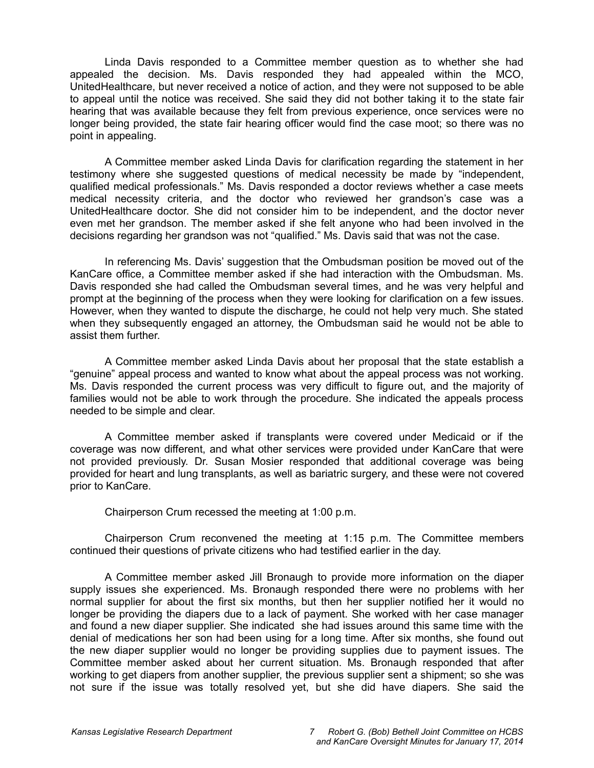Linda Davis responded to a Committee member question as to whether she had appealed the decision. Ms. Davis responded they had appealed within the MCO, UnitedHealthcare, but never received a notice of action, and they were not supposed to be able to appeal until the notice was received. She said they did not bother taking it to the state fair hearing that was available because they felt from previous experience, once services were no longer being provided, the state fair hearing officer would find the case moot; so there was no point in appealing.

A Committee member asked Linda Davis for clarification regarding the statement in her testimony where she suggested questions of medical necessity be made by "independent, qualified medical professionals." Ms. Davis responded a doctor reviews whether a case meets medical necessity criteria, and the doctor who reviewed her grandson's case was a UnitedHealthcare doctor. She did not consider him to be independent, and the doctor never even met her grandson. The member asked if she felt anyone who had been involved in the decisions regarding her grandson was not "qualified." Ms. Davis said that was not the case.

In referencing Ms. Davis' suggestion that the Ombudsman position be moved out of the KanCare office, a Committee member asked if she had interaction with the Ombudsman. Ms. Davis responded she had called the Ombudsman several times, and he was very helpful and prompt at the beginning of the process when they were looking for clarification on a few issues. However, when they wanted to dispute the discharge, he could not help very much. She stated when they subsequently engaged an attorney, the Ombudsman said he would not be able to assist them further.

A Committee member asked Linda Davis about her proposal that the state establish a "genuine" appeal process and wanted to know what about the appeal process was not working. Ms. Davis responded the current process was very difficult to figure out, and the majority of families would not be able to work through the procedure. She indicated the appeals process needed to be simple and clear.

A Committee member asked if transplants were covered under Medicaid or if the coverage was now different, and what other services were provided under KanCare that were not provided previously. Dr. Susan Mosier responded that additional coverage was being provided for heart and lung transplants, as well as bariatric surgery, and these were not covered prior to KanCare.

Chairperson Crum recessed the meeting at 1:00 p.m.

Chairperson Crum reconvened the meeting at 1:15 p.m. The Committee members continued their questions of private citizens who had testified earlier in the day.

A Committee member asked Jill Bronaugh to provide more information on the diaper supply issues she experienced. Ms. Bronaugh responded there were no problems with her normal supplier for about the first six months, but then her supplier notified her it would no longer be providing the diapers due to a lack of payment. She worked with her case manager and found a new diaper supplier. She indicated she had issues around this same time with the denial of medications her son had been using for a long time. After six months, she found out the new diaper supplier would no longer be providing supplies due to payment issues. The Committee member asked about her current situation. Ms. Bronaugh responded that after working to get diapers from another supplier, the previous supplier sent a shipment; so she was not sure if the issue was totally resolved yet, but she did have diapers. She said the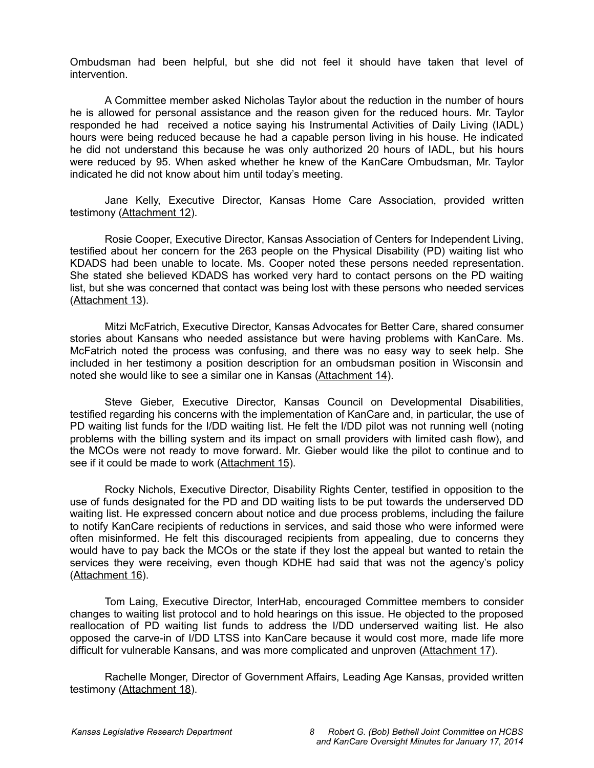Ombudsman had been helpful, but she did not feel it should have taken that level of intervention.

A Committee member asked Nicholas Taylor about the reduction in the number of hours he is allowed for personal assistance and the reason given for the reduced hours. Mr. Taylor responded he had received a notice saying his Instrumental Activities of Daily Living (IADL) hours were being reduced because he had a capable person living in his house. He indicated he did not understand this because he was only authorized 20 hours of IADL, but his hours were reduced by 95. When asked whether he knew of the KanCare Ombudsman, Mr. Taylor indicated he did not know about him until today's meeting.

Jane Kelly, Executive Director, Kansas Home Care Association, provided written testimony (Attachment 12).

Rosie Cooper, Executive Director, Kansas Association of Centers for Independent Living, testified about her concern for the 263 people on the Physical Disability (PD) waiting list who KDADS had been unable to locate. Ms. Cooper noted these persons needed representation. She stated she believed KDADS has worked very hard to contact persons on the PD waiting list, but she was concerned that contact was being lost with these persons who needed services (Attachment 13).

Mitzi McFatrich, Executive Director, Kansas Advocates for Better Care, shared consumer stories about Kansans who needed assistance but were having problems with KanCare. Ms. McFatrich noted the process was confusing, and there was no easy way to seek help. She included in her testimony a position description for an ombudsman position in Wisconsin and noted she would like to see a similar one in Kansas (Attachment 14).

Steve Gieber, Executive Director, Kansas Council on Developmental Disabilities, testified regarding his concerns with the implementation of KanCare and, in particular, the use of PD waiting list funds for the I/DD waiting list. He felt the I/DD pilot was not running well (noting problems with the billing system and its impact on small providers with limited cash flow), and the MCOs were not ready to move forward. Mr. Gieber would like the pilot to continue and to see if it could be made to work (Attachment 15).

Rocky Nichols, Executive Director, Disability Rights Center, testified in opposition to the use of funds designated for the PD and DD waiting lists to be put towards the underserved DD waiting list. He expressed concern about notice and due process problems, including the failure to notify KanCare recipients of reductions in services, and said those who were informed were often misinformed. He felt this discouraged recipients from appealing, due to concerns they would have to pay back the MCOs or the state if they lost the appeal but wanted to retain the services they were receiving, even though KDHE had said that was not the agency's policy (Attachment 16).

Tom Laing, Executive Director, InterHab, encouraged Committee members to consider changes to waiting list protocol and to hold hearings on this issue. He objected to the proposed reallocation of PD waiting list funds to address the I/DD underserved waiting list. He also opposed the carve-in of I/DD LTSS into KanCare because it would cost more, made life more difficult for vulnerable Kansans, and was more complicated and unproven (Attachment 17).

Rachelle Monger, Director of Government Affairs, Leading Age Kansas, provided written testimony (Attachment 18).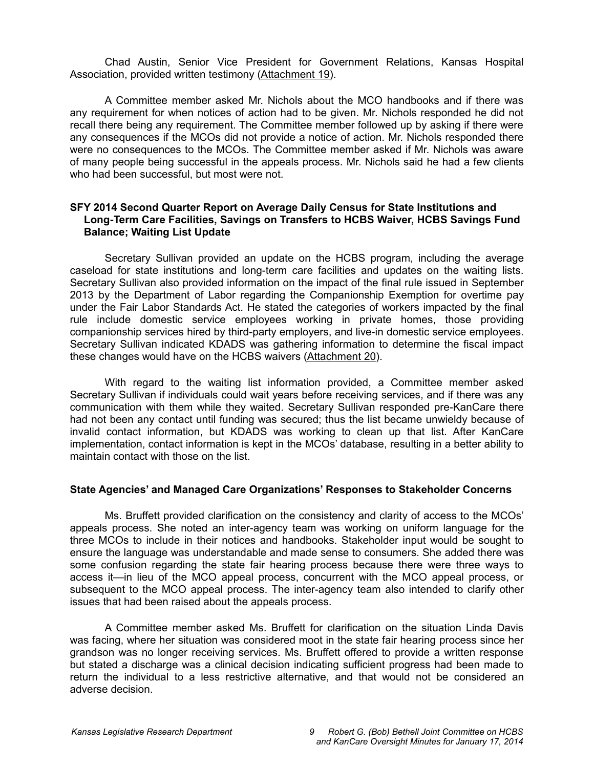Chad Austin, Senior Vice President for Government Relations, Kansas Hospital Association, provided written testimony (Attachment 19).

A Committee member asked Mr. Nichols about the MCO handbooks and if there was any requirement for when notices of action had to be given. Mr. Nichols responded he did not recall there being any requirement. The Committee member followed up by asking if there were any consequences if the MCOs did not provide a notice of action. Mr. Nichols responded there were no consequences to the MCOs. The Committee member asked if Mr. Nichols was aware of many people being successful in the appeals process. Mr. Nichols said he had a few clients who had been successful, but most were not.

### **SFY 2014 Second Quarter Report on Average Daily Census for State Institutions and Long-Term Care Facilities, Savings on Transfers to HCBS Waiver, HCBS Savings Fund Balance; Waiting List Update**

Secretary Sullivan provided an update on the HCBS program, including the average caseload for state institutions and long-term care facilities and updates on the waiting lists. Secretary Sullivan also provided information on the impact of the final rule issued in September 2013 by the Department of Labor regarding the Companionship Exemption for overtime pay under the Fair Labor Standards Act. He stated the categories of workers impacted by the final rule include domestic service employees working in private homes, those providing companionship services hired by third-party employers, and live-in domestic service employees. Secretary Sullivan indicated KDADS was gathering information to determine the fiscal impact these changes would have on the HCBS waivers (Attachment 20).

With regard to the waiting list information provided, a Committee member asked Secretary Sullivan if individuals could wait years before receiving services, and if there was any communication with them while they waited. Secretary Sullivan responded pre-KanCare there had not been any contact until funding was secured; thus the list became unwieldy because of invalid contact information, but KDADS was working to clean up that list. After KanCare implementation, contact information is kept in the MCOs' database, resulting in a better ability to maintain contact with those on the list.

#### **State Agencies' and Managed Care Organizations' Responses to Stakeholder Concerns**

Ms. Bruffett provided clarification on the consistency and clarity of access to the MCOs' appeals process. She noted an inter-agency team was working on uniform language for the three MCOs to include in their notices and handbooks. Stakeholder input would be sought to ensure the language was understandable and made sense to consumers. She added there was some confusion regarding the state fair hearing process because there were three ways to access it—in lieu of the MCO appeal process, concurrent with the MCO appeal process, or subsequent to the MCO appeal process. The inter-agency team also intended to clarify other issues that had been raised about the appeals process.

A Committee member asked Ms. Bruffett for clarification on the situation Linda Davis was facing, where her situation was considered moot in the state fair hearing process since her grandson was no longer receiving services. Ms. Bruffett offered to provide a written response but stated a discharge was a clinical decision indicating sufficient progress had been made to return the individual to a less restrictive alternative, and that would not be considered an adverse decision.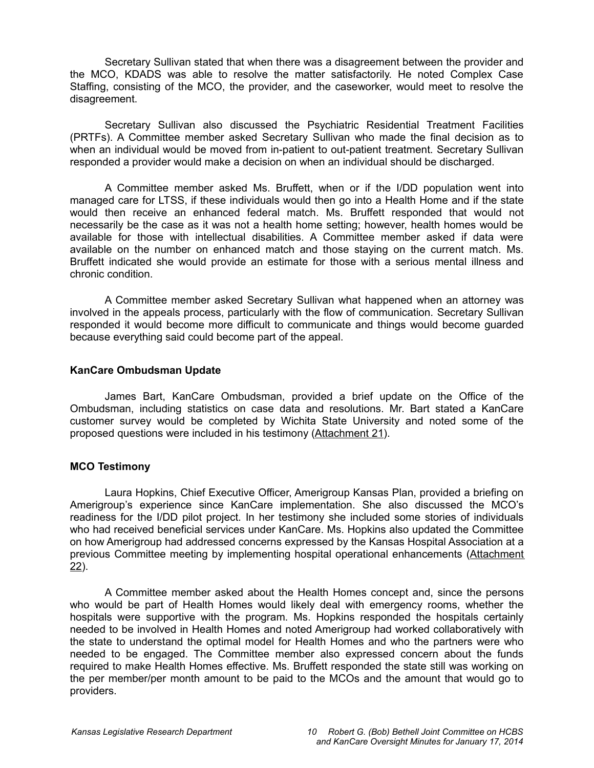Secretary Sullivan stated that when there was a disagreement between the provider and the MCO, KDADS was able to resolve the matter satisfactorily. He noted Complex Case Staffing, consisting of the MCO, the provider, and the caseworker, would meet to resolve the disagreement.

Secretary Sullivan also discussed the Psychiatric Residential Treatment Facilities (PRTFs). A Committee member asked Secretary Sullivan who made the final decision as to when an individual would be moved from in-patient to out-patient treatment. Secretary Sullivan responded a provider would make a decision on when an individual should be discharged.

A Committee member asked Ms. Bruffett, when or if the I/DD population went into managed care for LTSS, if these individuals would then go into a Health Home and if the state would then receive an enhanced federal match. Ms. Bruffett responded that would not necessarily be the case as it was not a health home setting; however, health homes would be available for those with intellectual disabilities. A Committee member asked if data were available on the number on enhanced match and those staying on the current match. Ms. Bruffett indicated she would provide an estimate for those with a serious mental illness and chronic condition.

A Committee member asked Secretary Sullivan what happened when an attorney was involved in the appeals process, particularly with the flow of communication. Secretary Sullivan responded it would become more difficult to communicate and things would become guarded because everything said could become part of the appeal.

### **KanCare Ombudsman Update**

James Bart, KanCare Ombudsman, provided a brief update on the Office of the Ombudsman, including statistics on case data and resolutions. Mr. Bart stated a KanCare customer survey would be completed by Wichita State University and noted some of the proposed questions were included in his testimony (Attachment 21).

## **MCO Testimony**

Laura Hopkins, Chief Executive Officer, Amerigroup Kansas Plan, provided a briefing on Amerigroup's experience since KanCare implementation. She also discussed the MCO's readiness for the I/DD pilot project. In her testimony she included some stories of individuals who had received beneficial services under KanCare. Ms. Hopkins also updated the Committee on how Amerigroup had addressed concerns expressed by the Kansas Hospital Association at a previous Committee meeting by implementing hospital operational enhancements (Attachment 22).

A Committee member asked about the Health Homes concept and, since the persons who would be part of Health Homes would likely deal with emergency rooms, whether the hospitals were supportive with the program. Ms. Hopkins responded the hospitals certainly needed to be involved in Health Homes and noted Amerigroup had worked collaboratively with the state to understand the optimal model for Health Homes and who the partners were who needed to be engaged. The Committee member also expressed concern about the funds required to make Health Homes effective. Ms. Bruffett responded the state still was working on the per member/per month amount to be paid to the MCOs and the amount that would go to providers.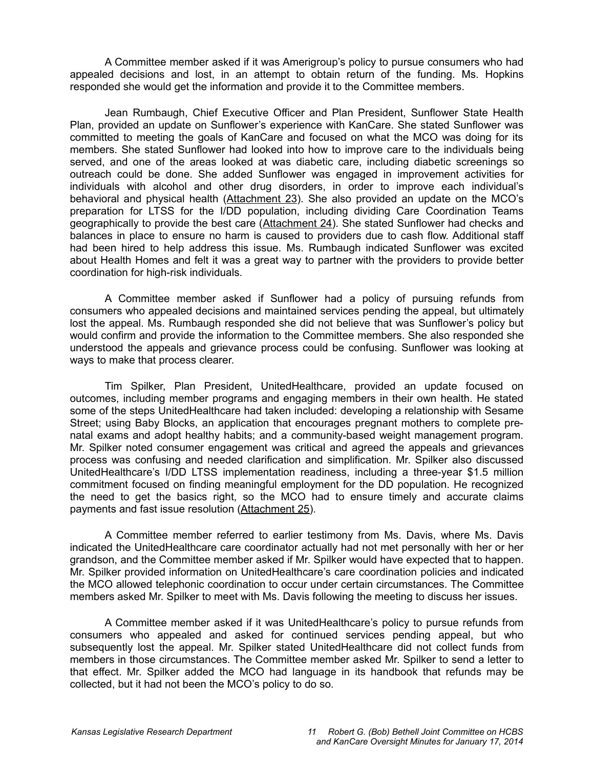A Committee member asked if it was Amerigroup's policy to pursue consumers who had appealed decisions and lost, in an attempt to obtain return of the funding. Ms. Hopkins responded she would get the information and provide it to the Committee members.

Jean Rumbaugh, Chief Executive Officer and Plan President, Sunflower State Health Plan, provided an update on Sunflower's experience with KanCare. She stated Sunflower was committed to meeting the goals of KanCare and focused on what the MCO was doing for its members. She stated Sunflower had looked into how to improve care to the individuals being served, and one of the areas looked at was diabetic care, including diabetic screenings so outreach could be done. She added Sunflower was engaged in improvement activities for individuals with alcohol and other drug disorders, in order to improve each individual's behavioral and physical health (Attachment 23). She also provided an update on the MCO's preparation for LTSS for the I/DD population, including dividing Care Coordination Teams geographically to provide the best care (Attachment 24). She stated Sunflower had checks and balances in place to ensure no harm is caused to providers due to cash flow. Additional staff had been hired to help address this issue. Ms. Rumbaugh indicated Sunflower was excited about Health Homes and felt it was a great way to partner with the providers to provide better coordination for high-risk individuals.

A Committee member asked if Sunflower had a policy of pursuing refunds from consumers who appealed decisions and maintained services pending the appeal, but ultimately lost the appeal. Ms. Rumbaugh responded she did not believe that was Sunflower's policy but would confirm and provide the information to the Committee members. She also responded she understood the appeals and grievance process could be confusing. Sunflower was looking at ways to make that process clearer.

Tim Spilker, Plan President, UnitedHealthcare, provided an update focused on outcomes, including member programs and engaging members in their own health. He stated some of the steps UnitedHealthcare had taken included: developing a relationship with Sesame Street; using Baby Blocks, an application that encourages pregnant mothers to complete prenatal exams and adopt healthy habits; and a community-based weight management program. Mr. Spilker noted consumer engagement was critical and agreed the appeals and grievances process was confusing and needed clarification and simplification. Mr. Spilker also discussed UnitedHealthcare's I/DD LTSS implementation readiness, including a three-year \$1.5 million commitment focused on finding meaningful employment for the DD population. He recognized the need to get the basics right, so the MCO had to ensure timely and accurate claims payments and fast issue resolution (Attachment 25).

A Committee member referred to earlier testimony from Ms. Davis, where Ms. Davis indicated the UnitedHealthcare care coordinator actually had not met personally with her or her grandson, and the Committee member asked if Mr. Spilker would have expected that to happen. Mr. Spilker provided information on UnitedHealthcare's care coordination policies and indicated the MCO allowed telephonic coordination to occur under certain circumstances. The Committee members asked Mr. Spilker to meet with Ms. Davis following the meeting to discuss her issues.

A Committee member asked if it was UnitedHealthcare's policy to pursue refunds from consumers who appealed and asked for continued services pending appeal, but who subsequently lost the appeal. Mr. Spilker stated UnitedHealthcare did not collect funds from members in those circumstances. The Committee member asked Mr. Spilker to send a letter to that effect. Mr. Spilker added the MCO had language in its handbook that refunds may be collected, but it had not been the MCO's policy to do so.